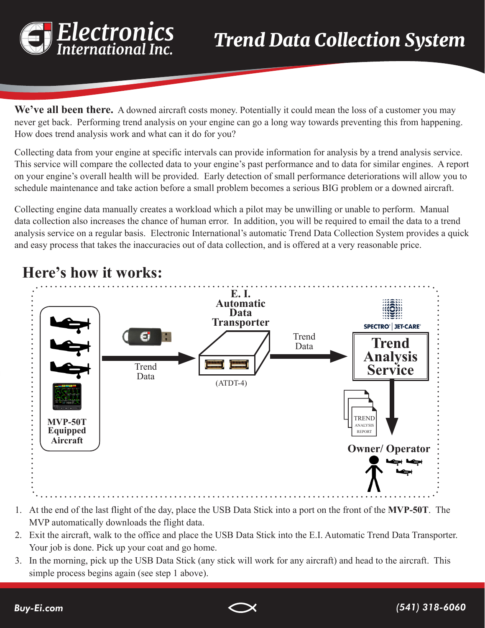

We've all been there. A downed aircraft costs money. Potentially it could mean the loss of a customer you may never get back. Performing trend analysis on your engine can go a long way towards preventing this from happening. How does trend analysis work and what can it do for you?

Collecting data from your engine at specific intervals can provide information for analysis by a trend analysis service. This service will compare the collected data to your engine's past performance and to data for similar engines. A report on your engine's overall health will be provided. Early detection of small performance deteriorations will allow you to schedule maintenance and take action before a small problem becomes a serious BIG problem or a downed aircraft.

Collecting engine data manually creates a workload which a pilot may be unwilling or unable to perform. Manual data collection also increases the chance of human error. In addition, you will be required to email the data to a trend analysis service on a regular basis. Electronic International's automatic Trend Data Collection System provides a quick and easy process that takes the inaccuracies out of data collection, and is offered at a very reasonable price.



## **Here's how it works:**

- 1. At the end of the last flight of the day, place the USB Data Stick into a port on the front of the **MVP-50T**. The MVP automatically downloads the flight data.
- 2. Exit the aircraft, walk to the office and place the USB Data Stick into the E.I. Automatic Trend Data Transporter. Your job is done. Pick up your coat and go home.
- 3. In the morning, pick up the USB Data Stick (any stick will work for any aircraft) and head to the aircraft. This simple process begins again (see step 1 above).